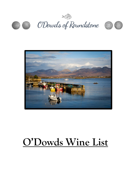







# **O'Dowds Wine List**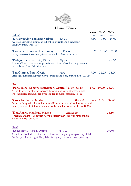

# House Wines

| (White)<br><i><b>*El Caminador Sauvignon Blanc</b></i><br>(Chile)                                                                                                                                                 | <b>Glass</b><br>175ml<br>6.00 | Carafe Bottle<br>500ml<br>19.00 | 750ml<br>24.00 |
|-------------------------------------------------------------------------------------------------------------------------------------------------------------------------------------------------------------------|-------------------------------|---------------------------------|----------------|
| Classic, zesty citrus aromas with light, juicy fruits and a satisfying,<br>long dry finish (Alc 12.5%)                                                                                                            |                               |                                 |                |
| *Domaine Grauzan, Chardonnay<br>(France)<br>Lovely, unoaked Chardonnay from the south of France. (Alc.13%)                                                                                                        | 7.25                          | 21.50                           | 27.50          |
| *Badajo Rueda Verdejo, Viura<br>(Spain)<br>A wine of fresh citrus & pineapple flavours, A Wonderful accompaniment<br>to salads and fresh fish. Alc 12.5%)                                                         |                               |                                 | 28.50          |
| *San Giorgio, Pinot Grigio,<br>(Italy)<br>Crisp light & refreshing with juicy pear fruits and a dry citrus finish. (Alc 12%)                                                                                      | 7.00                          | 21.75                           | 28.00          |
| (Red)                                                                                                                                                                                                             |                               |                                 |                |
| *Puna Snipe Cabernet Sauvignon, Central Valley (Chile)<br>A ripe, fruity style offering cherries, figs and blackcurrant notes; supple<br>well integrated tannins offer a wine suited to most occasions. (Alc 13%) | 6.00                          | 19.00 24.00                     |                |
| <i>*Croix Des Vents, Merlot</i><br>(France)<br>From the Languedoc Roussillion area of France. A very soft and fruity red with<br>punchy summer fruit flavours, and a lovely round pleasant finish. (Alc 12.5%)    |                               | 6.75 20.50 26.50                |                |
| *Don Aparo, Mendoza, Malbec<br>(Argentina)<br>A Medium weight Malbec with juicy Blackberry Flavours with hints of Plum<br>& Black Cherry (Alc 13.5%)                                                              |                               |                                 | 28.50          |
| (Rosé)<br><i>*La Roulerie, Rosé D'Anjou</i><br>(France)<br>A medium bodied sweetly fruited Rosé with a gently crisp off dry finish.<br>Perfectly suited to light Fish, Salad & slightly spiced dishes. (Ale 11%)  |                               |                                 | 29.50          |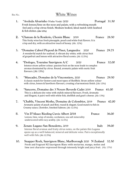#### Bin No. White Wines

- - **1. \*Aveleda Alvarinho (Vinho Verde) 2020 Portugal 31.50** Fresh lemon/lime on the nose and palate, with a refreshing mouth feel and a crisp citrus finish. Medium bodied, Ideal match with Seafood & fish dishes. **(Alc 12%)**
	- **2. \*Chateau de la Roulerie, Chenin Blanc 2019 France 28.50** This fruity wine has fresh pineapple, peach and white fruit flavors. It is crisp and dry, with an attractive touch of honey. (Alc. 12%)
	- **3. \*Domaine Cabrol Picpoul de Pinet, Languedoc 2020 France 29.75** A wonderful match for seafood. A vibrant dry white, with citrus fruit of grapefruit and lemon with attractive floral scents. (Alc 12.5%)
	- **4. \*Desloges, Touraine Sauvignon A/C 2020 France 32.00**  Intense straw yellow colour; passion fruit on the nose leads to complex aromas dominated by citrus. Round, aromatic palate with exotic fruit flavours. (Alc 13%)
	- **5. \*Muscadet, Domaine de la Vinconniere, 2020 France 29.50** A classic match for Oysters and most types of Shellfish. Straw yellow colour with citrus, lemon & hawthorn flavours, creating a harmonious finish. (Alc 12%)
	- **6. \*Sancerre, Domaine des 3 Noyers Reverdy Cadet 2019 France 41.00** This is a delicate dry wine with stylish mineral flavours. Fresh, Aromatic and Elegant, it pairs well with white fish, shellfish and goat's cheese. (Alc 13%)
	- **7. \*Chablis, Vincent Mothe, Domaine de Colombier, 2019 France 42.00** Aromatic palate of peach and flint, round & elegant. Good match to fish in Creamy sauce, Chowder, Smoked Salmon. (Alc 12.5%)
	- 8. **Vin D'Alsace Riesling Cuvée Albert 2018 France 36.00** Lemon, lime, wisp of smoke, cardamon, sea salt minerality underscored with racy acidity. (Alc 12.5%)
	- **9. Zenato Lugano San Benedetto, 2019 Italy 39.00** Intense floral aromas and fruity citrus notes, on the palate this Lugana opens up as a well-balanced, mineral and delicate wine. Pairs exceptionally well with fish. (Alc 12.5%)
	- **10. Snapper Rock, Sauvignon Blanc, Marlborough 2020 N Zealand 32.50** Fresh and fragrant NZ Sauvignon Blanc with nectarine, mango, melon and lime zest character expressed through intensely bright and juicy fruit. (Alc 13%)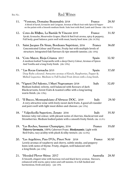## Bin No. Red Wines

| 11. | *Ventoux, Domaine Beaumalric 2018<br>A blend of Syrah, Grenache and Carignan. Aromas of Black fruit with Spice & Pepper<br>on the palate with a Smooth medium finish. Suits best with Beef, Lamb and Cheese (Alc 14.5%)      | France           | 28.50 |
|-----|------------------------------------------------------------------------------------------------------------------------------------------------------------------------------------------------------------------------------|------------------|-------|
| 12. | Cotes du Rhône, La Bastide St Vincent 2019<br>Syrah, Grenache, Mourvedre Grapes. Black & Red fruit aroma, spicy & peppery,<br>Full body, good balance, pairs well with meat, hearty beef stew. (Alc 14.5%)                   | France           | 31.50 |
| 13. | Saint Jacques De Siran, Bordeaux Supérieur, 2016<br>Concentrated Colour and Flavour, Fruity but with multiple levels of<br>structure. Integrated Oak flavours & ripe smooth tannins. (Alc 14%)                               | France           | 36.00 |
|     | 14. *Coto Mayor, Rioja Crianza 2017<br>A medium bodied Tempranillo with a deep Cherry Colour, Aromas of Spices<br>And Vanilla and a long fruity finish. (Alc 13%)                                                            | Spain            | 32.50 |
|     | 15. * Las Rocas Garnacha 2015<br>Deep Ruby coloured. Attractive aromas of Kirsch, Raspberries, Pepper &<br>Melted Liquorice. Medium to Full bodied Fruit driven with a long finish.                                          | Spain            | 37.00 |
|     | 16. *Vigneti Del Salento, I Muri Negroamaro 2018<br>Medium bodied, velvety, well balanced with flavours of dark<br>Blackcurrants, forest fruits & toasted coffee with a long lasting<br>warm finish. (Alc 13%).              | Italy            | 32.00 |
| 17. | *Il Bucco, Montepulciano d'Abruzzo DOC, 2019<br>A very attractive wine with lively sweet dark fruits. A good all rounder<br>and pairs well with light meat dishes and cheeses. (alc 13%)                                     | Italy            | 29.50 |
| 18. | * Valpolicella Superiore, Zenato 2016<br>Intense ruby red colour, with plesant notes of cherries, blackcurrent and<br>Strawberries. Medium bodied palate with a smooth fruity finish. (Alc 13.5%)                            | Italy            | 35.50 |
|     | 19. *Les Roches, Saumur Champigny, 2016<br>Thierry Germain, 100% Cabernet Franc. Biodynamic. Light with<br>Red fruits, racy acidity with plush & silky texture. (Alc 12.5%)                                                  | France           | 35.00 |
| 20. | <i>*Les Argelières, Pays D'Oc, Pinot Noir</i> 2018<br>Lovely aromas of raspberry and cherry, subtle smoky, and peppery<br>hints with notes of thyme. Fruity, elegant, well balanced with<br>a long finish. (alc 13%)         | France           | 30.50 |
| 21. | *Hooded Plover Shiraz 2017<br>A Smooth, elegant wine with luscious red and black berry aromas, flavours,<br>enhanced with warm, spicy notes and soft tannins. It is full-bodied and<br>harmonious, fresh and juicy. (alc 14% | <b>Australia</b> | 28.50 |